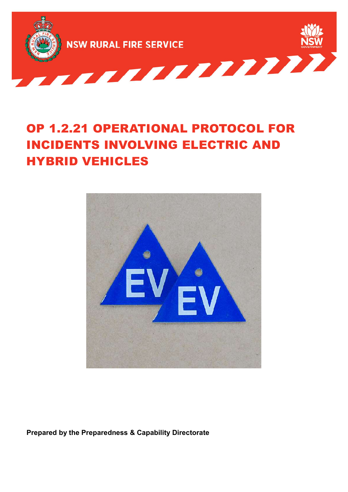

# OP 1.2.21 OPERATIONAL PROTOCOL FOR INCIDENTS INVOLVING ELECTRIC AND HYBRID VEHICLES



Prepared by the Preparedness & Capability Directorate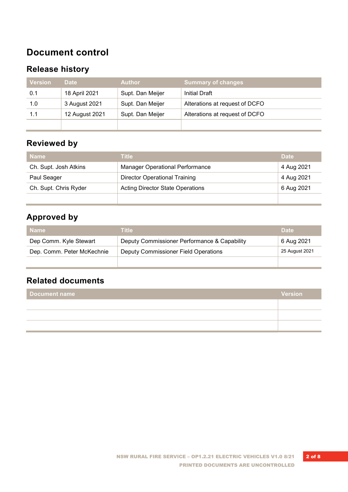# Document control

#### Release history

| <b>Version</b> | <b>Date</b>    | <b>Author</b>    | <b>Summary of changes</b>      |
|----------------|----------------|------------------|--------------------------------|
| 0.1            | 18 April 2021  | Supt. Dan Meijer | <b>Initial Draft</b>           |
| 1.0            | 3 August 2021  | Supt. Dan Meijer | Alterations at request of DCFO |
| 1.1            | 12 August 2021 | Supt. Dan Meijer | Alterations at request of DCFO |
|                |                |                  |                                |

#### Reviewed by

| <b>Name</b>           | <b>Title</b>                            | <b>Date</b> |
|-----------------------|-----------------------------------------|-------------|
| Ch. Supt. Josh Atkins | <b>Manager Operational Performance</b>  | 4 Aug 2021  |
| Paul Seager           | <b>Director Operational Training</b>    | 4 Aug 2021  |
| Ch. Supt. Chris Ryder | <b>Acting Director State Operations</b> | 6 Aug 2021  |
|                       |                                         |             |

# Approved by

| <b>Name</b>                | Title                                        | <b>Date</b>    |
|----------------------------|----------------------------------------------|----------------|
| Dep Comm. Kyle Stewart     | Deputy Commissioner Performance & Capability | 6 Aug 2021     |
| Dep. Comm. Peter McKechnie | Deputy Commissioner Field Operations         | 25 August 2021 |
|                            |                                              |                |

#### Related documents

| <b>Document name</b> | <b>Version</b> |
|----------------------|----------------|
|                      |                |
|                      |                |
|                      |                |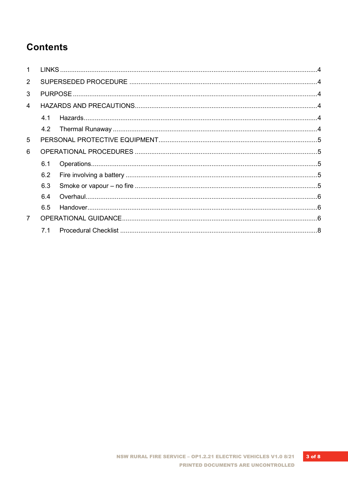# **Contents**

| $\overline{2}$ |     |  |  |  |
|----------------|-----|--|--|--|
| 3              |     |  |  |  |
| 4              |     |  |  |  |
|                | 4.1 |  |  |  |
|                |     |  |  |  |
| 5              |     |  |  |  |
| 6              |     |  |  |  |
|                | 6.1 |  |  |  |
|                | 6.2 |  |  |  |
|                | 6.3 |  |  |  |
|                | 6.4 |  |  |  |
|                | 6.5 |  |  |  |
| $\overline{7}$ |     |  |  |  |
|                | 71  |  |  |  |
|                |     |  |  |  |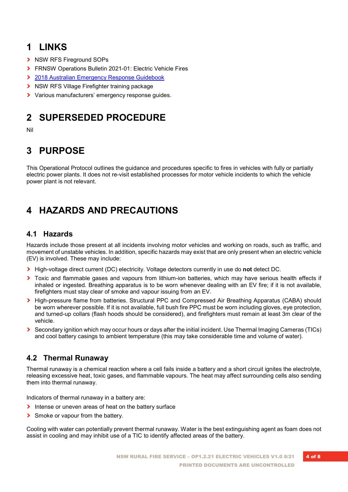# 1 LINKS

- > NSW RFS Fireground SOPs
- › FRNSW Operations Bulletin 2021-01: Electric Vehicle Fires
- › 2018 Australian Emergency Response Guidebook
- › NSW RFS Village Firefighter training package
- > Various manufacturers' emergency response quides.

# 2 SUPERSEDED PROCEDURE

Nil

# 3 PURPOSE

This Operational Protocol outlines the guidance and procedures specific to fires in vehicles with fully or partially electric power plants. It does not re-visit established processes for motor vehicle incidents to which the vehicle power plant is not relevant.

# 4 HAZARDS AND PRECAUTIONS

#### 4.1 Hazards

Hazards include those present at all incidents involving motor vehicles and working on roads, such as traffic, and movement of unstable vehicles. In addition, specific hazards may exist that are only present when an electric vehicle (EV) is involved. These may include:

- > High-voltage direct current (DC) electricity. Voltage detectors currently in use do not detect DC.
- > Toxic and flammable gases and vapours from lithium-ion batteries, which may have serious health effects if inhaled or ingested. Breathing apparatus is to be worn whenever dealing with an EV fire; if it is not available, firefighters must stay clear of smoke and vapour issuing from an EV.
- > High-pressure flame from batteries. Structural PPC and Compressed Air Breathing Apparatus (CABA) should be worn wherever possible. If it is not available, full bush fire PPC must be worn including gloves, eye protection, and turned-up collars (flash hoods should be considered), and firefighters must remain at least 3m clear of the vehicle.
- › Secondary ignition which may occur hours or days after the initial incident. Use Thermal Imaging Cameras (TICs) and cool battery casings to ambient temperature (this may take considerable time and volume of water).

#### 4.2 Thermal Runaway

Thermal runaway is a chemical reaction where a cell fails inside a battery and a short circuit ignites the electrolyte, releasing excessive heat, toxic gases, and flammable vapours. The heat may affect surrounding cells also sending them into thermal runaway.

Indicators of thermal runaway in a battery are:

- Intense or uneven areas of heat on the battery surface
- **>** Smoke or vapour from the battery.

Cooling with water can potentially prevent thermal runaway. Water is the best extinguishing agent as foam does not assist in cooling and may inhibit use of a TIC to identify affected areas of the battery.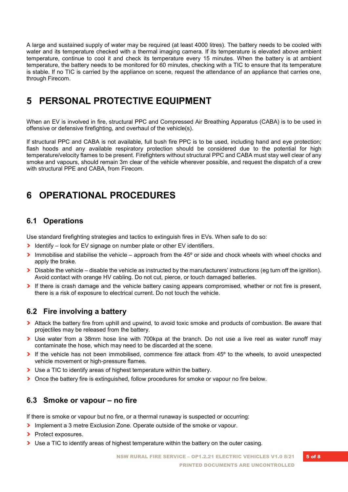A large and sustained supply of water may be required (at least 4000 litres). The battery needs to be cooled with water and its temperature checked with a thermal imaging camera. If its temperature is elevated above ambient temperature, continue to cool it and check its temperature every 15 minutes. When the battery is at ambient temperature, the battery needs to be monitored for 60 minutes, checking with a TIC to ensure that its temperature is stable. If no TIC is carried by the appliance on scene, request the attendance of an appliance that carries one, through Firecom.

## 5 PERSONAL PROTECTIVE EQUIPMENT

When an EV is involved in fire, structural PPC and Compressed Air Breathing Apparatus (CABA) is to be used in offensive or defensive firefighting, and overhaul of the vehicle(s).

If structural PPC and CABA is not available, full bush fire PPC is to be used, including hand and eye protection; flash hoods and any available respiratory protection should be considered due to the potential for high temperature/velocity flames to be present. Firefighters without structural PPC and CABA must stay well clear of any smoke and vapours, should remain 3m clear of the vehicle wherever possible, and request the dispatch of a crew with structural PPE and CABA, from Firecom.

# 6 OPERATIONAL PROCEDURES

#### 6.1 Operations

Use standard firefighting strategies and tactics to extinguish fires in EVs. When safe to do so:

- **I** Identify look for EV signage on number plate or other EV identifiers.
- $\blacktriangleright$  Immobilise and stabilise the vehicle approach from the 45 $\degree$  or side and chock wheels with wheel chocks and apply the brake.
- $\triangleright$  Disable the vehicle disable the vehicle as instructed by the manufacturers' instructions (eq turn off the ignition). Avoid contact with orange HV cabling. Do not cut, pierce, or touch damaged batteries.
- If there is crash damage and the vehicle battery casing appears compromised, whether or not fire is present, there is a risk of exposure to electrical current. Do not touch the vehicle.

#### 6.2 Fire involving a battery

- › Attack the battery fire from uphill and upwind, to avoid toxic smoke and products of combustion. Be aware that projectiles may be released from the battery.
- › Use water from a 38mm hose line with 700kpa at the branch. Do not use a live reel as water runoff may contaminate the hose, which may need to be discarded at the scene.
- If the vehicle has not been immobilised, commence fire attack from 45° to the wheels, to avoid unexpected vehicle movement or high-pressure flames.
- › Use a TIC to identify areas of highest temperature within the battery.
- > Once the battery fire is extinguished, follow procedures for smoke or vapour no fire below.

#### 6.3 Smoke or vapour – no fire

If there is smoke or vapour but no fire, or a thermal runaway is suspected or occurring:

- › Implement a 3 metre Exclusion Zone. Operate outside of the smoke or vapour.
- > Protect exposures.
- $\triangleright$  Use a TIC to identify areas of highest temperature within the battery on the outer casing.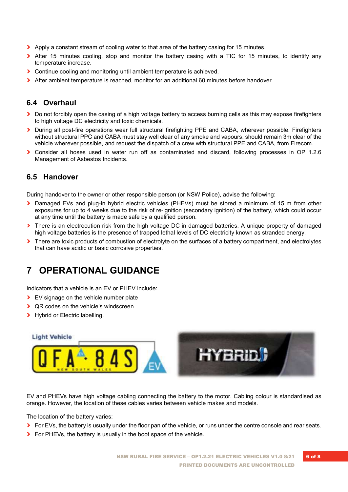- › Apply a constant stream of cooling water to that area of the battery casing for 15 minutes.
- If After 15 minutes cooling, stop and monitor the battery casing with a TIC for 15 minutes, to identify any temperature increase.
- › Continue cooling and monitoring until ambient temperature is achieved.
- > After ambient temperature is reached, monitor for an additional 60 minutes before handover.

#### 6.4 Overhaul

- › Do not forcibly open the casing of a high voltage battery to access burning cells as this may expose firefighters to high voltage DC electricity and toxic chemicals.
- › During all post-fire operations wear full structural firefighting PPE and CABA, wherever possible. Firefighters without structural PPC and CABA must stay well clear of any smoke and vapours, should remain 3m clear of the vehicle wherever possible, and request the dispatch of a crew with structural PPE and CABA, from Firecom.
- › Consider all hoses used in water run off as contaminated and discard, following processes in OP 1.2.6 Management of Asbestos Incidents.

#### 6.5 Handover

During handover to the owner or other responsible person (or NSW Police), advise the following:

- › Damaged EVs and plug-in hybrid electric vehicles (PHEVs) must be stored a minimum of 15 m from other exposures for up to 4 weeks due to the risk of re-ignition (secondary ignition) of the battery, which could occur at any time until the battery is made safe by a qualified person.
- > There is an electrocution risk from the high voltage DC in damaged batteries. A unique property of damaged high voltage batteries is the presence of trapped lethal levels of DC electricity known as stranded energy.
- Inere are toxic products of combustion of electrolyte on the surfaces of a battery compartment, and electrolytes that can have acidic or basic corrosive properties.

# 7 OPERATIONAL GUIDANCE

Indicators that a vehicle is an EV or PHEV include:

- > EV signage on the vehicle number plate
- > QR codes on the vehicle's windscreen
- > Hybrid or Electric labelling.



EV and PHEVs have high voltage cabling connecting the battery to the motor. Cabling colour is standardised as orange. However, the location of these cables varies between vehicle makes and models.

The location of the battery varies:

- If For EVs, the battery is usually under the floor pan of the vehicle, or runs under the centre console and rear seats.
- **>** For PHEVs, the battery is usually in the boot space of the vehicle.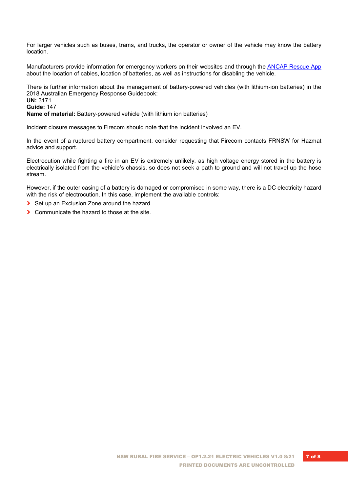For larger vehicles such as buses, trams, and trucks, the operator or owner of the vehicle may know the battery location.

Manufacturers provide information for emergency workers on their websites and through the ANCAP Rescue App about the location of cables, location of batteries, as well as instructions for disabling the vehicle.

There is further information about the management of battery-powered vehicles (with lithium-ion batteries) in the 2018 Australian Emergency Response Guidebook:

UN: 3171

#### Guide: 147

Name of material: Battery-powered vehicle (with lithium ion batteries)

Incident closure messages to Firecom should note that the incident involved an EV.

In the event of a ruptured battery compartment, consider requesting that Firecom contacts FRNSW for Hazmat advice and support.

Electrocution while fighting a fire in an EV is extremely unlikely, as high voltage energy stored in the battery is electrically isolated from the vehicle's chassis, so does not seek a path to ground and will not travel up the hose stream.

However, if the outer casing of a battery is damaged or compromised in some way, there is a DC electricity hazard with the risk of electrocution. In this case, implement the available controls:

- ▶ Set up an Exclusion Zone around the hazard.
- › Communicate the hazard to those at the site.